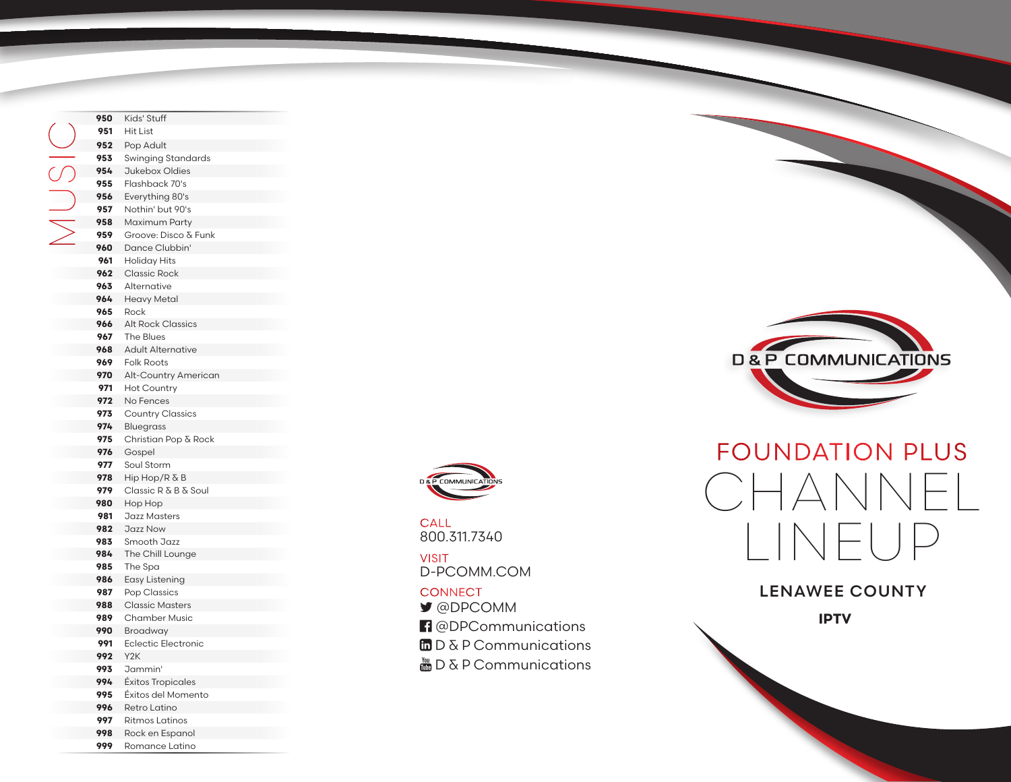Kids' Stuff Hit List Pop Adult Swinging Standards Jukebox Oldies Flashback 70's Everything 80's Nothin' but 90's Maximum Party Groove: Disco & Funk Dance Clubbin' Holiday Hits Classic Rock Alternative Heavy Metal Rock Alt Rock Classics The Blues Adult Alternative Folk Roots Alt-Country American Hot Country No Fences Country Classics Bluegrass Christian Pop & Rock Gospel Soul Storm Hip Hop/R & B Classic R & B & Soul Hop Hop Jazz Masters Jazz Now Smooth Jazz The Chill Lounge The Spa Easy Listening Pop Classics Classic Masters Chamber Music Broadway Eclectic Electronic Y2K Jammin' Éxitos Tropicales Éxitos del Momento Retro Latino Ritmos Latinos Rock en Espanol O<br>MUSI<br>Z

Romance Latino



800.311.7340 **CALL** 

D-PCOMM.COM VISIT

## **CONNECT**

- @DPCOMM
- <sup>1</sup> @DPCommunications
- $\ln D \& P$  Communications
- $\frac{M_{\text{min}}}{M_{\text{min}}}$  D & P Communications





LENAWEE COUNTY

**IPTV**